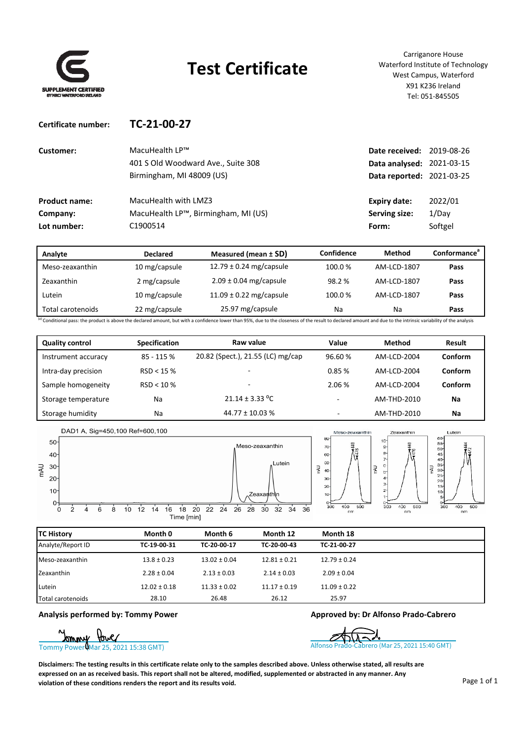

**Certificate number: TC‐21‐00‐27**

## **Test Certificate**

Carriganore House Waterford Institute of Technology West Campus, Waterford X91 K236 Ireland Tel: 051‐845505

| Customer:            | MacuHealth LP™                      | Date received: 2019-08-26 |         |
|----------------------|-------------------------------------|---------------------------|---------|
|                      | 401 S Old Woodward Ave., Suite 308  | Data analysed: 2021-03-15 |         |
|                      | Birmingham, MI 48009 (US)           | Data reported: 2021-03-25 |         |
| <b>Product name:</b> | MacuHealth with LMZ3                | Expiry date:              | 2022/01 |
| Company:             | MacuHealth LP™, Birmingham, MI (US) | Serving size:             | 1/Dav   |
| Lot number:          | C1900514                            | Form:                     | Softgel |

| Analyte           | <b>Declared</b> | Confidence<br>Measured (mean $\pm$ SD) |        | Method      | <b>Conformanceª</b> |
|-------------------|-----------------|----------------------------------------|--------|-------------|---------------------|
| Meso-zeaxanthin   | 10 mg/capsule   | 12.79 $\pm$ 0.24 mg/capsule            | 100.0% | AM-LCD-1807 | Pass                |
| Zeaxanthin        | 2 mg/capsule    | $2.09 \pm 0.04$ mg/capsule             | 98.2 % | AM-LCD-1807 | Pass                |
| Lutein            | 10 mg/capsule   | 11.09 $\pm$ 0.22 mg/capsule            | 100.0% | AM-LCD-1807 | Pass                |
| Total carotenoids | 22 mg/capsule   | 25.97 mg/capsule                       | Na     | Na          | Pass                |

<sup>(a)</sup> Conditional pass: the product is above the declared amount, but with a confidence lower than 95%, due to the coseness of the result to declared amount and due to the intrinsic variability of the analysis

| <b>Quality control</b> | <b>Specification</b> | Raw value                         | Value                    | <b>Method</b> | Result         |
|------------------------|----------------------|-----------------------------------|--------------------------|---------------|----------------|
| Instrument accuracy    | 85 - 115 %           | 20.82 (Spect.), 21.55 (LC) mg/cap | 96.60%                   | AM-LCD-2004   | <b>Conform</b> |
| Intra-day precision    | RSD < 15%            | $\overline{\phantom{0}}$          | 0.85%                    | AM-LCD-2004   | <b>Conform</b> |
| Sample homogeneity     | RSD < 10%            | $\overline{\phantom{0}}$          | 2.06 %                   | AM-LCD-2004   | Conform        |
| Storage temperature    | Na                   | $21.14 \pm 3.33$ °C               | ۰                        | AM-THD-2010   | Na             |
| Storage humidity       | Na                   | $44.77 \pm 10.03$ %               | $\overline{\phantom{0}}$ | AM-THD-2010   | Na             |



| <b>TC History</b> | Month 0          | Month 6          | Month 12         | Month 18         |
|-------------------|------------------|------------------|------------------|------------------|
| Analyte/Report ID | TC-19-00-31      | TC-20-00-17      | TC-20-00-43      | TC-21-00-27      |
| Meso-zeaxanthin   | $13.8 \pm 0.23$  | $13.02 \pm 0.04$ | $12.81 \pm 0.21$ | $12.79 \pm 0.24$ |
| Zeaxanthin        | $2.28 \pm 0.04$  | $2.13 \pm 0.03$  | $2.14 \pm 0.03$  | $2.09 \pm 0.04$  |
| Lutein            | $12.02 \pm 0.18$ | $11.33 \pm 0.02$ | $11.17 \pm 0.19$ | $11.09 \pm 0.22$ |
| Total carotenoids | 28.10            | 26.48            | 26.12            | 25.97            |

**Analysis performed by: Tommy Power Approved by: Dr Alfonso Prado‐Cabrero**



Disclaimers: The testing results in this certificate relate only to the samples described above. Unless otherwise stated, all results are expressed on an as received basis. This report shall not be altered, modified, supplemented or abstracted in any manner. Any **violation of these conditions renders the report and its results void.**